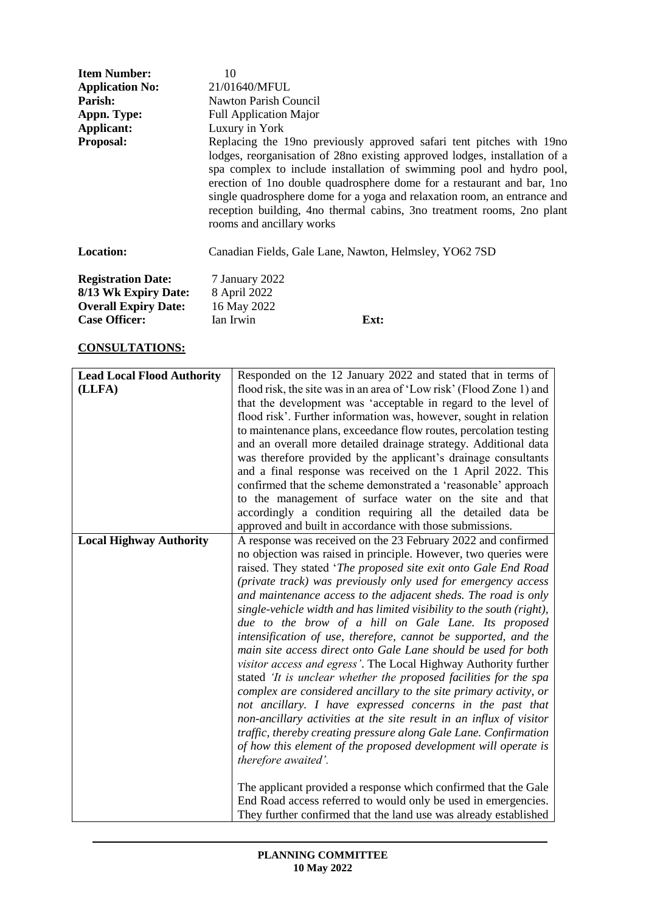| <b>Item Number:</b>                               | 10                                                                                                                                                                                                                                                                                                                                                                                                                                                                                        |
|---------------------------------------------------|-------------------------------------------------------------------------------------------------------------------------------------------------------------------------------------------------------------------------------------------------------------------------------------------------------------------------------------------------------------------------------------------------------------------------------------------------------------------------------------------|
| <b>Application No:</b>                            | 21/01640/MFUL                                                                                                                                                                                                                                                                                                                                                                                                                                                                             |
| Parish:                                           | Nawton Parish Council                                                                                                                                                                                                                                                                                                                                                                                                                                                                     |
| Appn. Type:                                       | <b>Full Application Major</b>                                                                                                                                                                                                                                                                                                                                                                                                                                                             |
| Applicant:                                        | Luxury in York                                                                                                                                                                                                                                                                                                                                                                                                                                                                            |
| <b>Proposal:</b>                                  | Replacing the 19no previously approved safari tent pitches with 19no<br>lodges, reorganisation of 28no existing approved lodges, installation of a<br>spa complex to include installation of swimming pool and hydro pool,<br>erection of 1 no double quadrosphere dome for a restaurant and bar, 1 no<br>single quadrosphere dome for a yoga and relaxation room, an entrance and<br>reception building, 4no thermal cabins, 3no treatment rooms, 2no plant<br>rooms and ancillary works |
| <b>Location:</b>                                  | Canadian Fields, Gale Lane, Nawton, Helmsley, YO62 7SD                                                                                                                                                                                                                                                                                                                                                                                                                                    |
| <b>Registration Date:</b><br>8/13 Wk Expiry Date: | 7 January 2022<br>8 April 2022                                                                                                                                                                                                                                                                                                                                                                                                                                                            |

# **CONSULTATIONS:**

**Overall Expiry Date:** 16 May 2022

Case Officer: Ian Irwin **Ext:** 

| <b>Lead Local Flood Authority</b> | Responded on the 12 January 2022 and stated that in terms of          |
|-----------------------------------|-----------------------------------------------------------------------|
| (LLFA)                            | flood risk, the site was in an area of 'Low risk' (Flood Zone 1) and  |
|                                   | that the development was 'acceptable in regard to the level of        |
|                                   | flood risk'. Further information was, however, sought in relation     |
|                                   | to maintenance plans, exceedance flow routes, percolation testing     |
|                                   | and an overall more detailed drainage strategy. Additional data       |
|                                   | was therefore provided by the applicant's drainage consultants        |
|                                   | and a final response was received on the 1 April 2022. This           |
|                                   | confirmed that the scheme demonstrated a 'reasonable' approach        |
|                                   | to the management of surface water on the site and that               |
|                                   | accordingly a condition requiring all the detailed data be            |
|                                   | approved and built in accordance with those submissions.              |
| <b>Local Highway Authority</b>    | A response was received on the 23 February 2022 and confirmed         |
|                                   | no objection was raised in principle. However, two queries were       |
|                                   | raised. They stated 'The proposed site exit onto Gale End Road        |
|                                   |                                                                       |
|                                   | (private track) was previously only used for emergency access         |
|                                   | and maintenance access to the adjacent sheds. The road is only        |
|                                   | single-vehicle width and has limited visibility to the south (right), |
|                                   | due to the brow of a hill on Gale Lane. Its proposed                  |
|                                   | intensification of use, therefore, cannot be supported, and the       |
|                                   | main site access direct onto Gale Lane should be used for both        |
|                                   | visitor access and egress'. The Local Highway Authority further       |
|                                   | stated 'It is unclear whether the proposed facilities for the spa     |
|                                   | complex are considered ancillary to the site primary activity, or     |
|                                   | not ancillary. I have expressed concerns in the past that             |
|                                   | non-ancillary activities at the site result in an influx of visitor   |
|                                   | traffic, thereby creating pressure along Gale Lane. Confirmation      |
|                                   | of how this element of the proposed development will operate is       |
|                                   | therefore awaited'.                                                   |
|                                   | The applicant provided a response which confirmed that the Gale       |
|                                   | End Road access referred to would only be used in emergencies.        |
|                                   | They further confirmed that the land use was already established      |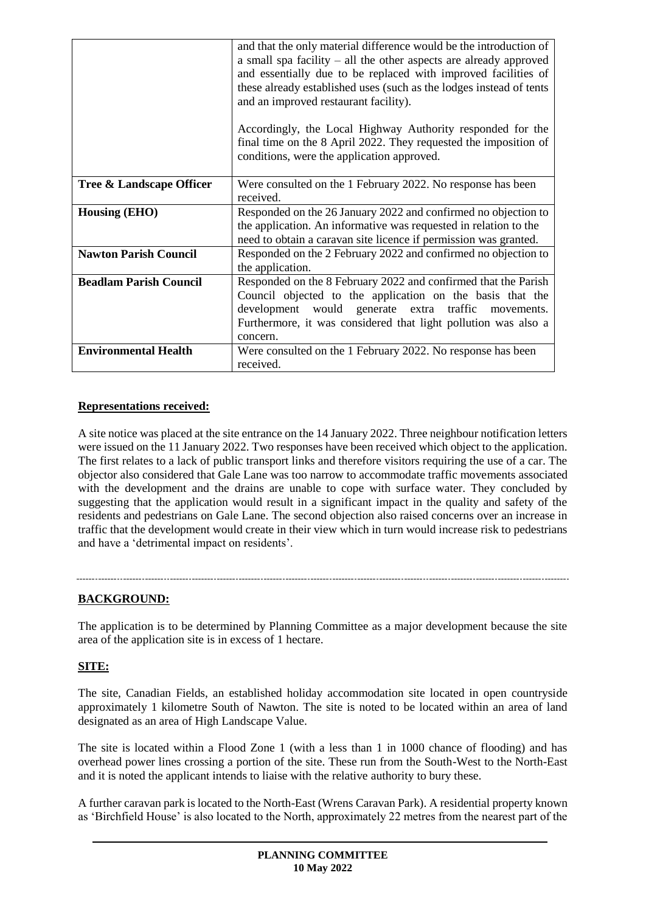|                               | and that the only material difference would be the introduction of<br>a small spa facility - all the other aspects are already approved<br>and essentially due to be replaced with improved facilities of<br>these already established uses (such as the lodges instead of tents<br>and an improved restaurant facility). |
|-------------------------------|---------------------------------------------------------------------------------------------------------------------------------------------------------------------------------------------------------------------------------------------------------------------------------------------------------------------------|
|                               | Accordingly, the Local Highway Authority responded for the<br>final time on the 8 April 2022. They requested the imposition of<br>conditions, were the application approved.                                                                                                                                              |
| Tree & Landscape Officer      | Were consulted on the 1 February 2022. No response has been<br>received.                                                                                                                                                                                                                                                  |
| <b>Housing (EHO)</b>          | Responded on the 26 January 2022 and confirmed no objection to<br>the application. An informative was requested in relation to the<br>need to obtain a caravan site licence if permission was granted.                                                                                                                    |
| <b>Nawton Parish Council</b>  | Responded on the 2 February 2022 and confirmed no objection to<br>the application.                                                                                                                                                                                                                                        |
| <b>Beadlam Parish Council</b> | Responded on the 8 February 2022 and confirmed that the Parish<br>Council objected to the application on the basis that the<br>development would generate extra traffic<br>movements.<br>Furthermore, it was considered that light pollution was also a<br>concern.                                                       |
| <b>Environmental Health</b>   | Were consulted on the 1 February 2022. No response has been<br>received.                                                                                                                                                                                                                                                  |

## **Representations received:**

A site notice was placed at the site entrance on the 14 January 2022. Three neighbour notification letters were issued on the 11 January 2022. Two responses have been received which object to the application. The first relates to a lack of public transport links and therefore visitors requiring the use of a car. The objector also considered that Gale Lane was too narrow to accommodate traffic movements associated with the development and the drains are unable to cope with surface water. They concluded by suggesting that the application would result in a significant impact in the quality and safety of the residents and pedestrians on Gale Lane. The second objection also raised concerns over an increase in traffic that the development would create in their view which in turn would increase risk to pedestrians and have a 'detrimental impact on residents'.

# **BACKGROUND:**

The application is to be determined by Planning Committee as a major development because the site area of the application site is in excess of 1 hectare.

### **SITE:**

The site, Canadian Fields, an established holiday accommodation site located in open countryside approximately 1 kilometre South of Nawton. The site is noted to be located within an area of land designated as an area of High Landscape Value.

The site is located within a Flood Zone 1 (with a less than 1 in 1000 chance of flooding) and has overhead power lines crossing a portion of the site. These run from the South-West to the North-East and it is noted the applicant intends to liaise with the relative authority to bury these.

A further caravan park is located to the North-East (Wrens Caravan Park). A residential property known as 'Birchfield House' is also located to the North, approximately 22 metres from the nearest part of the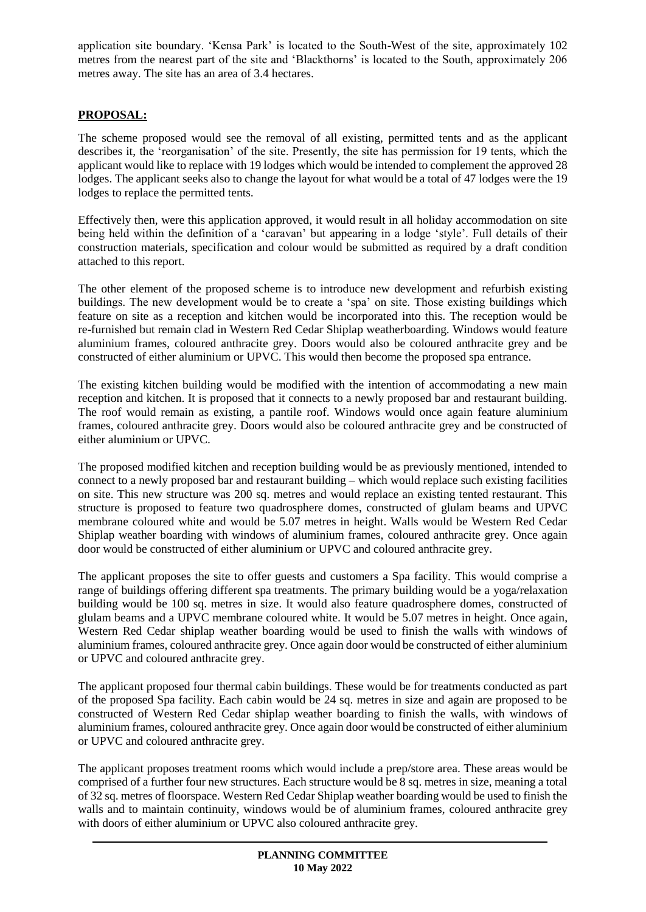application site boundary. 'Kensa Park' is located to the South-West of the site, approximately 102 metres from the nearest part of the site and 'Blackthorns' is located to the South, approximately 206 metres away. The site has an area of 3.4 hectares.

# **PROPOSAL:**

The scheme proposed would see the removal of all existing, permitted tents and as the applicant describes it, the 'reorganisation' of the site. Presently, the site has permission for 19 tents, which the applicant would like to replace with 19 lodges which would be intended to complement the approved 28 lodges. The applicant seeks also to change the layout for what would be a total of 47 lodges were the 19 lodges to replace the permitted tents.

Effectively then, were this application approved, it would result in all holiday accommodation on site being held within the definition of a 'caravan' but appearing in a lodge 'style'. Full details of their construction materials, specification and colour would be submitted as required by a draft condition attached to this report.

The other element of the proposed scheme is to introduce new development and refurbish existing buildings. The new development would be to create a 'spa' on site. Those existing buildings which feature on site as a reception and kitchen would be incorporated into this. The reception would be re-furnished but remain clad in Western Red Cedar Shiplap weatherboarding. Windows would feature aluminium frames, coloured anthracite grey. Doors would also be coloured anthracite grey and be constructed of either aluminium or UPVC. This would then become the proposed spa entrance.

The existing kitchen building would be modified with the intention of accommodating a new main reception and kitchen. It is proposed that it connects to a newly proposed bar and restaurant building. The roof would remain as existing, a pantile roof. Windows would once again feature aluminium frames, coloured anthracite grey. Doors would also be coloured anthracite grey and be constructed of either aluminium or UPVC.

The proposed modified kitchen and reception building would be as previously mentioned, intended to connect to a newly proposed bar and restaurant building – which would replace such existing facilities on site. This new structure was 200 sq. metres and would replace an existing tented restaurant. This structure is proposed to feature two quadrosphere domes, constructed of glulam beams and UPVC membrane coloured white and would be 5.07 metres in height. Walls would be Western Red Cedar Shiplap weather boarding with windows of aluminium frames, coloured anthracite grey. Once again door would be constructed of either aluminium or UPVC and coloured anthracite grey.

The applicant proposes the site to offer guests and customers a Spa facility. This would comprise a range of buildings offering different spa treatments. The primary building would be a yoga/relaxation building would be 100 sq. metres in size. It would also feature quadrosphere domes, constructed of glulam beams and a UPVC membrane coloured white. It would be 5.07 metres in height. Once again, Western Red Cedar shiplap weather boarding would be used to finish the walls with windows of aluminium frames, coloured anthracite grey. Once again door would be constructed of either aluminium or UPVC and coloured anthracite grey.

The applicant proposed four thermal cabin buildings. These would be for treatments conducted as part of the proposed Spa facility. Each cabin would be 24 sq. metres in size and again are proposed to be constructed of Western Red Cedar shiplap weather boarding to finish the walls, with windows of aluminium frames, coloured anthracite grey. Once again door would be constructed of either aluminium or UPVC and coloured anthracite grey.

The applicant proposes treatment rooms which would include a prep/store area. These areas would be comprised of a further four new structures. Each structure would be 8 sq. metres in size, meaning a total of 32 sq. metres of floorspace. Western Red Cedar Shiplap weather boarding would be used to finish the walls and to maintain continuity, windows would be of aluminium frames, coloured anthracite grey with doors of either aluminium or UPVC also coloured anthracite grey.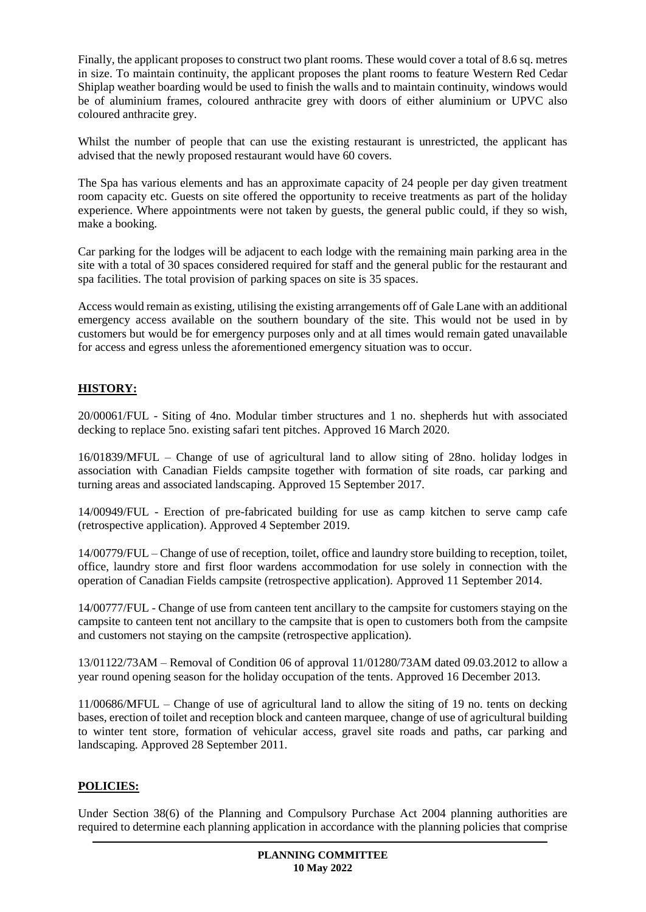Finally, the applicant proposes to construct two plant rooms. These would cover a total of 8.6 sq. metres in size. To maintain continuity, the applicant proposes the plant rooms to feature Western Red Cedar Shiplap weather boarding would be used to finish the walls and to maintain continuity, windows would be of aluminium frames, coloured anthracite grey with doors of either aluminium or UPVC also coloured anthracite grey.

Whilst the number of people that can use the existing restaurant is unrestricted, the applicant has advised that the newly proposed restaurant would have 60 covers.

The Spa has various elements and has an approximate capacity of 24 people per day given treatment room capacity etc. Guests on site offered the opportunity to receive treatments as part of the holiday experience. Where appointments were not taken by guests, the general public could, if they so wish, make a booking.

Car parking for the lodges will be adjacent to each lodge with the remaining main parking area in the site with a total of 30 spaces considered required for staff and the general public for the restaurant and spa facilities. The total provision of parking spaces on site is 35 spaces.

Access would remain as existing, utilising the existing arrangements off of Gale Lane with an additional emergency access available on the southern boundary of the site. This would not be used in by customers but would be for emergency purposes only and at all times would remain gated unavailable for access and egress unless the aforementioned emergency situation was to occur.

# **HISTORY:**

20/00061/FUL - Siting of 4no. Modular timber structures and 1 no. shepherds hut with associated decking to replace 5no. existing safari tent pitches. Approved 16 March 2020.

16/01839/MFUL – Change of use of agricultural land to allow siting of 28no. holiday lodges in association with Canadian Fields campsite together with formation of site roads, car parking and turning areas and associated landscaping. Approved 15 September 2017.

14/00949/FUL - Erection of pre-fabricated building for use as camp kitchen to serve camp cafe (retrospective application). Approved 4 September 2019.

14/00779/FUL – Change of use of reception, toilet, office and laundry store building to reception, toilet, office, laundry store and first floor wardens accommodation for use solely in connection with the operation of Canadian Fields campsite (retrospective application). Approved 11 September 2014.

14/00777/FUL - Change of use from canteen tent ancillary to the campsite for customers staying on the campsite to canteen tent not ancillary to the campsite that is open to customers both from the campsite and customers not staying on the campsite (retrospective application).

13/01122/73AM – Removal of Condition 06 of approval 11/01280/73AM dated 09.03.2012 to allow a year round opening season for the holiday occupation of the tents. Approved 16 December 2013.

11/00686/MFUL – Change of use of agricultural land to allow the siting of 19 no. tents on decking bases, erection of toilet and reception block and canteen marquee, change of use of agricultural building to winter tent store, formation of vehicular access, gravel site roads and paths, car parking and landscaping. Approved 28 September 2011.

### **POLICIES:**

Under Section 38(6) of the Planning and Compulsory Purchase Act 2004 planning authorities are required to determine each planning application in accordance with the planning policies that comprise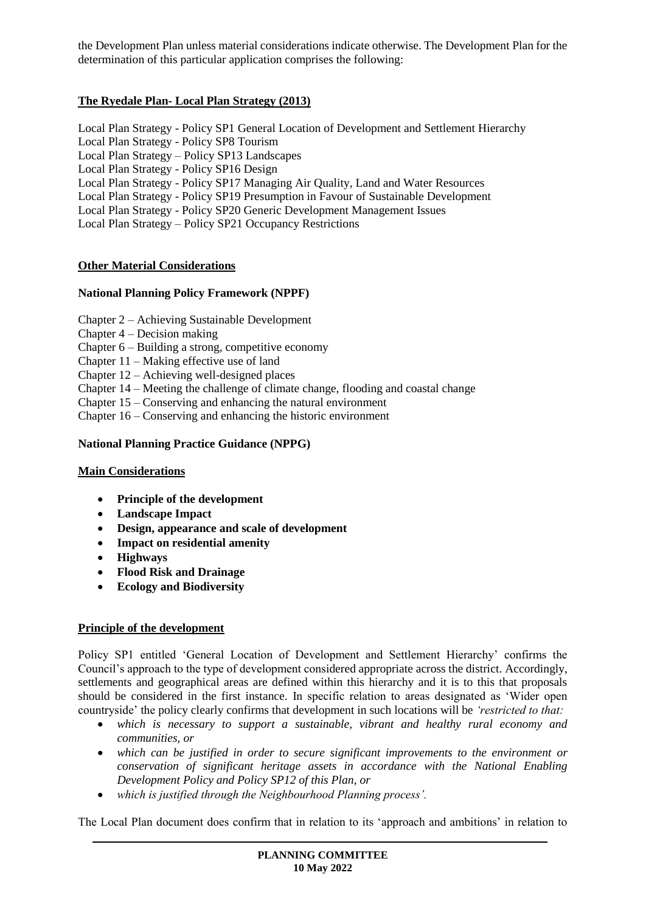the Development Plan unless material considerations indicate otherwise. The Development Plan for the determination of this particular application comprises the following:

## **The Ryedale Plan- Local Plan Strategy (2013)**

Local Plan Strategy - Policy SP1 General Location of Development and Settlement Hierarchy Local Plan Strategy - Policy SP8 Tourism Local Plan Strategy – Policy SP13 Landscapes Local Plan Strategy - Policy SP16 Design Local Plan Strategy - Policy SP17 Managing Air Quality, Land and Water Resources Local Plan Strategy - Policy SP19 Presumption in Favour of Sustainable Development Local Plan Strategy - Policy SP20 Generic Development Management Issues Local Plan Strategy – Policy SP21 Occupancy Restrictions

#### **Other Material Considerations**

#### **National Planning Policy Framework (NPPF)**

- Chapter 2 Achieving Sustainable Development
- Chapter 4 Decision making
- Chapter 6 Building a strong, competitive economy
- Chapter 11 Making effective use of land
- Chapter 12 Achieving well-designed places
- Chapter 14 Meeting the challenge of climate change, flooding and coastal change
- Chapter 15 Conserving and enhancing the natural environment
- Chapter 16 Conserving and enhancing the historic environment

#### **National Planning Practice Guidance (NPPG)**

#### **Main Considerations**

- **Principle of the development**
- **Landscape Impact**
- **Design, appearance and scale of development**
- **Impact on residential amenity**
- **Highways**
- **Flood Risk and Drainage**
- **Ecology and Biodiversity**

#### **Principle of the development**

Policy SP1 entitled 'General Location of Development and Settlement Hierarchy' confirms the Council's approach to the type of development considered appropriate across the district. Accordingly, settlements and geographical areas are defined within this hierarchy and it is to this that proposals should be considered in the first instance. In specific relation to areas designated as 'Wider open countryside' the policy clearly confirms that development in such locations will be *'restricted to that:* 

- *which is necessary to support a sustainable, vibrant and healthy rural economy and communities, or*
- *which can be justified in order to secure significant improvements to the environment or conservation of significant heritage assets in accordance with the National Enabling Development Policy and Policy SP12 of this Plan, or*
- *which is justified through the Neighbourhood Planning process'.*

The Local Plan document does confirm that in relation to its 'approach and ambitions' in relation to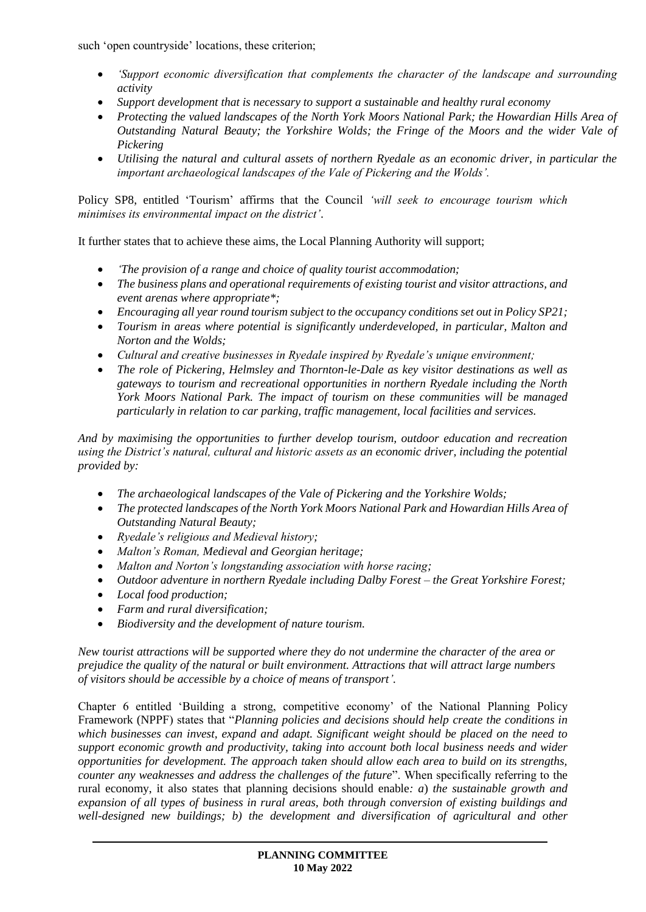such 'open countryside' locations, these criterion;

- *'Support economic diversification that complements the character of the landscape and surrounding activity*
- *Support development that is necessary to support a sustainable and healthy rural economy*
- *Protecting the valued landscapes of the North York Moors National Park; the Howardian Hills Area of Outstanding Natural Beauty; the Yorkshire Wolds; the Fringe of the Moors and the wider Vale of Pickering*
- *Utilising the natural and cultural assets of northern Ryedale as an economic driver, in particular the important archaeological landscapes of the Vale of Pickering and the Wolds'.*

Policy SP8, entitled 'Tourism' affirms that the Council *'will seek to encourage tourism which minimises its environmental impact on the district'*.

It further states that to achieve these aims, the Local Planning Authority will support;

- *'The provision of a range and choice of quality tourist accommodation;*
- *The business plans and operational requirements of existing tourist and visitor attractions, and event arenas where appropriate\*;*
- *Encouraging all year round tourism subject to the occupancy conditions set out in Policy SP21;*
- *Tourism in areas where potential is significantly underdeveloped, in particular, Malton and Norton and the Wolds;*
- *Cultural and creative businesses in Ryedale inspired by Ryedale's unique environment;*
- *The role of Pickering, Helmsley and Thornton-le-Dale as key visitor destinations as well as gateways to tourism and recreational opportunities in northern Ryedale including the North York Moors National Park. The impact of tourism on these communities will be managed particularly in relation to car parking, traffic management, local facilities and services.*

*And by maximising the opportunities to further develop tourism, outdoor education and recreation using the District's natural, cultural and historic assets as an economic driver, including the potential provided by:* 

- *The archaeological landscapes of the Vale of Pickering and the Yorkshire Wolds;*
- *The protected landscapes of the North York Moors National Park and Howardian Hills Area of Outstanding Natural Beauty;*
- *Ryedale's religious and Medieval history;*
- *Malton's Roman, Medieval and Georgian heritage;*
- *Malton and Norton's longstanding association with horse racing;*
- *Outdoor adventure in northern Ryedale including Dalby Forest – the Great Yorkshire Forest;*
- *Local food production;*
- *Farm and rural diversification;*
- *Biodiversity and the development of nature tourism.*

*New tourist attractions will be supported where they do not undermine the character of the area or prejudice the quality of the natural or built environment. Attractions that will attract large numbers of visitors should be accessible by a choice of means of transport'.* 

Chapter 6 entitled 'Building a strong, competitive economy' of the National Planning Policy Framework (NPPF) states that "*Planning policies and decisions should help create the conditions in which businesses can invest, expand and adapt. Significant weight should be placed on the need to support economic growth and productivity, taking into account both local business needs and wider opportunities for development. The approach taken should allow each area to build on its strengths, counter any weaknesses and address the challenges of the future*". When specifically referring to the rural economy, it also states that planning decisions should enable*: a*) *the sustainable growth and expansion of all types of business in rural areas, both through conversion of existing buildings and well-designed new buildings; b) the development and diversification of agricultural and other*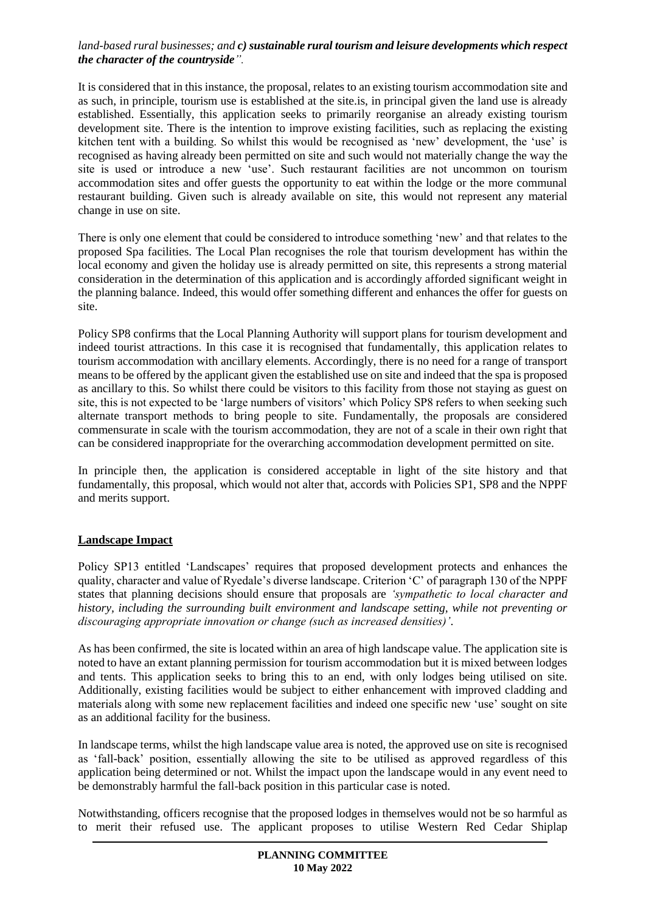#### *land-based rural businesses; and c) sustainable rural tourism and leisure developments which respect the character of the countryside".*

It is considered that in this instance, the proposal, relates to an existing tourism accommodation site and as such, in principle, tourism use is established at the site.is, in principal given the land use is already established. Essentially, this application seeks to primarily reorganise an already existing tourism development site. There is the intention to improve existing facilities, such as replacing the existing kitchen tent with a building. So whilst this would be recognised as 'new' development, the 'use' is recognised as having already been permitted on site and such would not materially change the way the site is used or introduce a new 'use'. Such restaurant facilities are not uncommon on tourism accommodation sites and offer guests the opportunity to eat within the lodge or the more communal restaurant building. Given such is already available on site, this would not represent any material change in use on site.

There is only one element that could be considered to introduce something 'new' and that relates to the proposed Spa facilities. The Local Plan recognises the role that tourism development has within the local economy and given the holiday use is already permitted on site, this represents a strong material consideration in the determination of this application and is accordingly afforded significant weight in the planning balance. Indeed, this would offer something different and enhances the offer for guests on site.

Policy SP8 confirms that the Local Planning Authority will support plans for tourism development and indeed tourist attractions. In this case it is recognised that fundamentally, this application relates to tourism accommodation with ancillary elements. Accordingly, there is no need for a range of transport means to be offered by the applicant given the established use on site and indeed that the spa is proposed as ancillary to this. So whilst there could be visitors to this facility from those not staying as guest on site, this is not expected to be 'large numbers of visitors' which Policy SP8 refers to when seeking such alternate transport methods to bring people to site. Fundamentally, the proposals are considered commensurate in scale with the tourism accommodation, they are not of a scale in their own right that can be considered inappropriate for the overarching accommodation development permitted on site.

In principle then, the application is considered acceptable in light of the site history and that fundamentally, this proposal, which would not alter that, accords with Policies SP1, SP8 and the NPPF and merits support.

### **Landscape Impact**

Policy SP13 entitled 'Landscapes' requires that proposed development protects and enhances the quality, character and value of Ryedale's diverse landscape. Criterion 'C' of paragraph 130 of the NPPF states that planning decisions should ensure that proposals are *'sympathetic to local character and history, including the surrounding built environment and landscape setting, while not preventing or discouraging appropriate innovation or change (such as increased densities)'*.

As has been confirmed, the site is located within an area of high landscape value. The application site is noted to have an extant planning permission for tourism accommodation but it is mixed between lodges and tents. This application seeks to bring this to an end, with only lodges being utilised on site. Additionally, existing facilities would be subject to either enhancement with improved cladding and materials along with some new replacement facilities and indeed one specific new 'use' sought on site as an additional facility for the business.

In landscape terms, whilst the high landscape value area is noted, the approved use on site is recognised as 'fall-back' position, essentially allowing the site to be utilised as approved regardless of this application being determined or not. Whilst the impact upon the landscape would in any event need to be demonstrably harmful the fall-back position in this particular case is noted.

Notwithstanding, officers recognise that the proposed lodges in themselves would not be so harmful as to merit their refused use. The applicant proposes to utilise Western Red Cedar Shiplap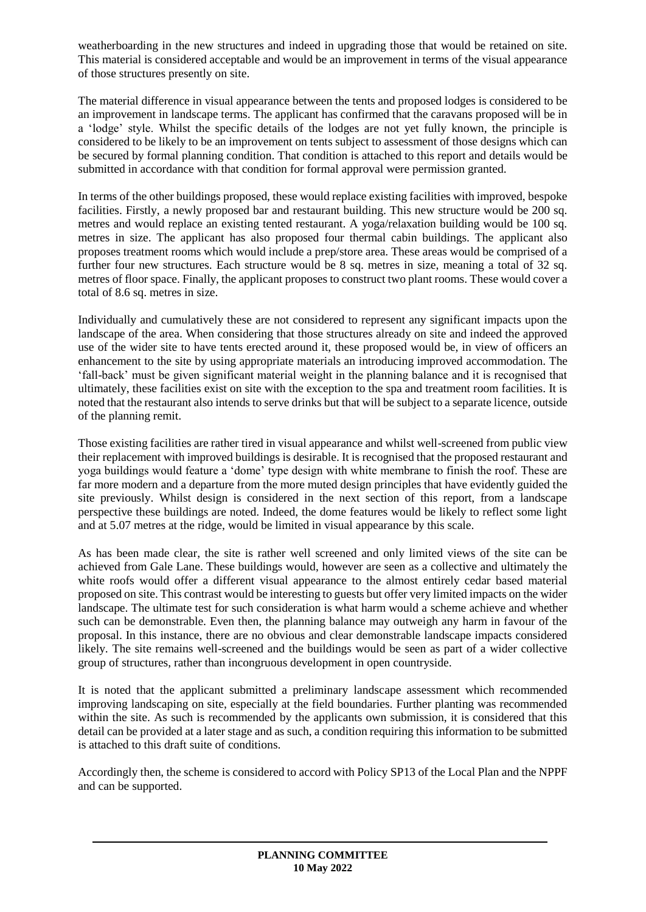weatherboarding in the new structures and indeed in upgrading those that would be retained on site. This material is considered acceptable and would be an improvement in terms of the visual appearance of those structures presently on site.

The material difference in visual appearance between the tents and proposed lodges is considered to be an improvement in landscape terms. The applicant has confirmed that the caravans proposed will be in a 'lodge' style. Whilst the specific details of the lodges are not yet fully known, the principle is considered to be likely to be an improvement on tents subject to assessment of those designs which can be secured by formal planning condition. That condition is attached to this report and details would be submitted in accordance with that condition for formal approval were permission granted.

In terms of the other buildings proposed, these would replace existing facilities with improved, bespoke facilities. Firstly, a newly proposed bar and restaurant building. This new structure would be 200 sq. metres and would replace an existing tented restaurant. A yoga/relaxation building would be 100 sq. metres in size. The applicant has also proposed four thermal cabin buildings. The applicant also proposes treatment rooms which would include a prep/store area. These areas would be comprised of a further four new structures. Each structure would be 8 sq. metres in size, meaning a total of 32 sq. metres of floor space. Finally, the applicant proposes to construct two plant rooms. These would cover a total of 8.6 sq. metres in size.

Individually and cumulatively these are not considered to represent any significant impacts upon the landscape of the area. When considering that those structures already on site and indeed the approved use of the wider site to have tents erected around it, these proposed would be, in view of officers an enhancement to the site by using appropriate materials an introducing improved accommodation. The 'fall-back' must be given significant material weight in the planning balance and it is recognised that ultimately, these facilities exist on site with the exception to the spa and treatment room facilities. It is noted that the restaurant also intends to serve drinks but that will be subject to a separate licence, outside of the planning remit.

Those existing facilities are rather tired in visual appearance and whilst well-screened from public view their replacement with improved buildings is desirable. It is recognised that the proposed restaurant and yoga buildings would feature a 'dome' type design with white membrane to finish the roof. These are far more modern and a departure from the more muted design principles that have evidently guided the site previously. Whilst design is considered in the next section of this report, from a landscape perspective these buildings are noted. Indeed, the dome features would be likely to reflect some light and at 5.07 metres at the ridge, would be limited in visual appearance by this scale.

As has been made clear, the site is rather well screened and only limited views of the site can be achieved from Gale Lane. These buildings would, however are seen as a collective and ultimately the white roofs would offer a different visual appearance to the almost entirely cedar based material proposed on site. This contrast would be interesting to guests but offer very limited impacts on the wider landscape. The ultimate test for such consideration is what harm would a scheme achieve and whether such can be demonstrable. Even then, the planning balance may outweigh any harm in favour of the proposal. In this instance, there are no obvious and clear demonstrable landscape impacts considered likely. The site remains well-screened and the buildings would be seen as part of a wider collective group of structures, rather than incongruous development in open countryside.

It is noted that the applicant submitted a preliminary landscape assessment which recommended improving landscaping on site, especially at the field boundaries. Further planting was recommended within the site. As such is recommended by the applicants own submission, it is considered that this detail can be provided at a later stage and as such, a condition requiring this information to be submitted is attached to this draft suite of conditions.

Accordingly then, the scheme is considered to accord with Policy SP13 of the Local Plan and the NPPF and can be supported.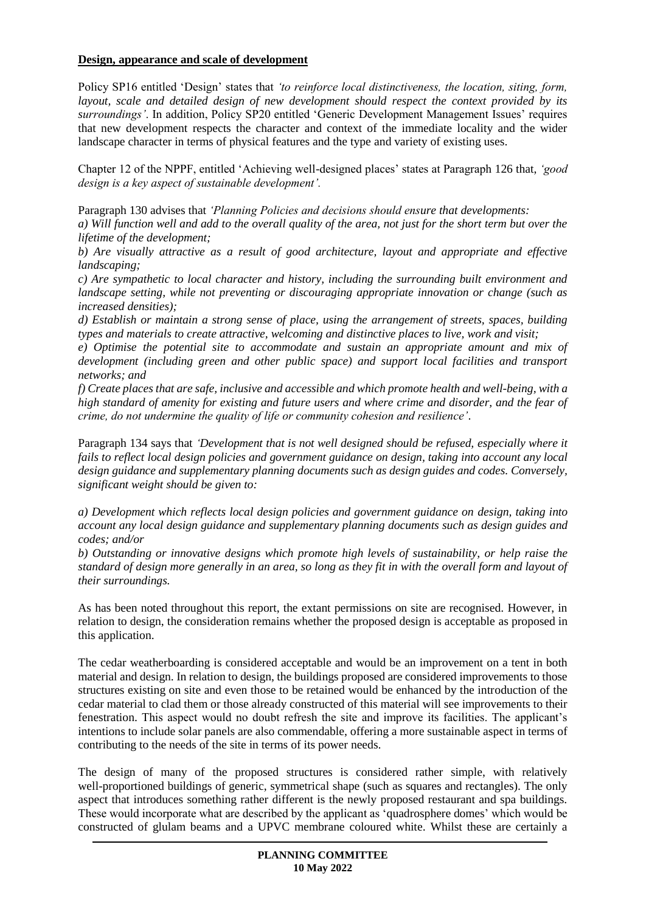### **Design, appearance and scale of development**

Policy SP16 entitled 'Design' states that *'to reinforce local distinctiveness, the location, siting, form, layout, scale and detailed design of new development should respect the context provided by its surroundings'*. In addition, Policy SP20 entitled 'Generic Development Management Issues' requires that new development respects the character and context of the immediate locality and the wider landscape character in terms of physical features and the type and variety of existing uses.

Chapter 12 of the NPPF, entitled 'Achieving well-designed places' states at Paragraph 126 that, *'good design is a key aspect of sustainable development'.*

Paragraph 130 advises that *'Planning Policies and decisions should ensure that developments: a) Will function well and add to the overall quality of the area, not just for the short term but over the lifetime of the development;*

*b) Are visually attractive as a result of good architecture, layout and appropriate and effective landscaping;*

*c) Are sympathetic to local character and history, including the surrounding built environment and landscape setting, while not preventing or discouraging appropriate innovation or change (such as increased densities);*

*d) Establish or maintain a strong sense of place, using the arrangement of streets, spaces, building types and materials to create attractive, welcoming and distinctive places to live, work and visit;*

*e) Optimise the potential site to accommodate and sustain an appropriate amount and mix of development (including green and other public space) and support local facilities and transport networks; and*

*f) Create places that are safe, inclusive and accessible and which promote health and well-being, with a high standard of amenity for existing and future users and where crime and disorder, and the fear of crime, do not undermine the quality of life or community cohesion and resilience'*.

Paragraph 134 says that *'Development that is not well designed should be refused, especially where it fails to reflect local design policies and government guidance on design, taking into account any local design guidance and supplementary planning documents such as design guides and codes. Conversely, significant weight should be given to:*

*a) Development which reflects local design policies and government guidance on design, taking into account any local design guidance and supplementary planning documents such as design guides and codes; and/or*

*b) Outstanding or innovative designs which promote high levels of sustainability, or help raise the standard of design more generally in an area, so long as they fit in with the overall form and layout of their surroundings.*

As has been noted throughout this report, the extant permissions on site are recognised. However, in relation to design, the consideration remains whether the proposed design is acceptable as proposed in this application.

The cedar weatherboarding is considered acceptable and would be an improvement on a tent in both material and design. In relation to design, the buildings proposed are considered improvements to those structures existing on site and even those to be retained would be enhanced by the introduction of the cedar material to clad them or those already constructed of this material will see improvements to their fenestration. This aspect would no doubt refresh the site and improve its facilities. The applicant's intentions to include solar panels are also commendable, offering a more sustainable aspect in terms of contributing to the needs of the site in terms of its power needs.

The design of many of the proposed structures is considered rather simple, with relatively well-proportioned buildings of generic, symmetrical shape (such as squares and rectangles). The only aspect that introduces something rather different is the newly proposed restaurant and spa buildings. These would incorporate what are described by the applicant as 'quadrosphere domes' which would be constructed of glulam beams and a UPVC membrane coloured white. Whilst these are certainly a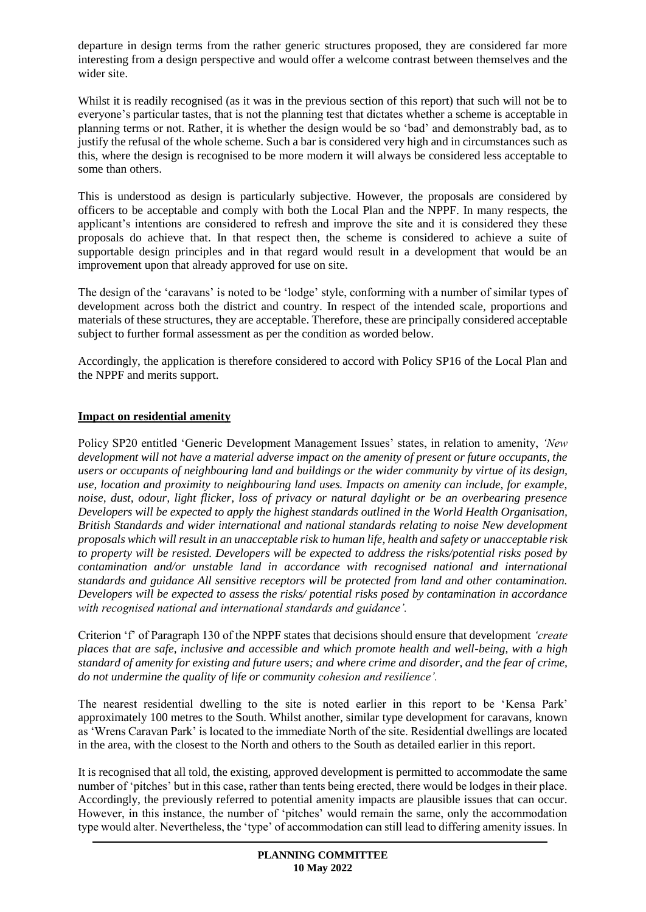departure in design terms from the rather generic structures proposed, they are considered far more interesting from a design perspective and would offer a welcome contrast between themselves and the wider site.

Whilst it is readily recognised (as it was in the previous section of this report) that such will not be to everyone's particular tastes, that is not the planning test that dictates whether a scheme is acceptable in planning terms or not. Rather, it is whether the design would be so 'bad' and demonstrably bad, as to justify the refusal of the whole scheme. Such a bar is considered very high and in circumstances such as this, where the design is recognised to be more modern it will always be considered less acceptable to some than others.

This is understood as design is particularly subjective. However, the proposals are considered by officers to be acceptable and comply with both the Local Plan and the NPPF. In many respects, the applicant's intentions are considered to refresh and improve the site and it is considered they these proposals do achieve that. In that respect then, the scheme is considered to achieve a suite of supportable design principles and in that regard would result in a development that would be an improvement upon that already approved for use on site.

The design of the 'caravans' is noted to be 'lodge' style, conforming with a number of similar types of development across both the district and country. In respect of the intended scale, proportions and materials of these structures, they are acceptable. Therefore, these are principally considered acceptable subject to further formal assessment as per the condition as worded below.

Accordingly, the application is therefore considered to accord with Policy SP16 of the Local Plan and the NPPF and merits support.

### **Impact on residential amenity**

Policy SP20 entitled 'Generic Development Management Issues' states, in relation to amenity, *'New development will not have a material adverse impact on the amenity of present or future occupants, the users or occupants of neighbouring land and buildings or the wider community by virtue of its design, use, location and proximity to neighbouring land uses. Impacts on amenity can include, for example, noise, dust, odour, light flicker, loss of privacy or natural daylight or be an overbearing presence Developers will be expected to apply the highest standards outlined in the World Health Organisation, British Standards and wider international and national standards relating to noise New development proposals which will result in an unacceptable risk to human life, health and safety or unacceptable risk to property will be resisted. Developers will be expected to address the risks/potential risks posed by contamination and/or unstable land in accordance with recognised national and international standards and guidance All sensitive receptors will be protected from land and other contamination. Developers will be expected to assess the risks/ potential risks posed by contamination in accordance with recognised national and international standards and guidance'.*

Criterion 'f' of Paragraph 130 of the NPPF states that decisions should ensure that development *'create places that are safe, inclusive and accessible and which promote health and well-being, with a high standard of amenity for existing and future users; and where crime and disorder, and the fear of crime, do not undermine the quality of life or community cohesion and resilience'.*

The nearest residential dwelling to the site is noted earlier in this report to be 'Kensa Park' approximately 100 metres to the South. Whilst another, similar type development for caravans, known as 'Wrens Caravan Park' is located to the immediate North of the site. Residential dwellings are located in the area, with the closest to the North and others to the South as detailed earlier in this report.

It is recognised that all told, the existing, approved development is permitted to accommodate the same number of 'pitches' but in this case, rather than tents being erected, there would be lodges in their place. Accordingly, the previously referred to potential amenity impacts are plausible issues that can occur. However, in this instance, the number of 'pitches' would remain the same, only the accommodation type would alter. Nevertheless, the 'type' of accommodation can still lead to differing amenity issues. In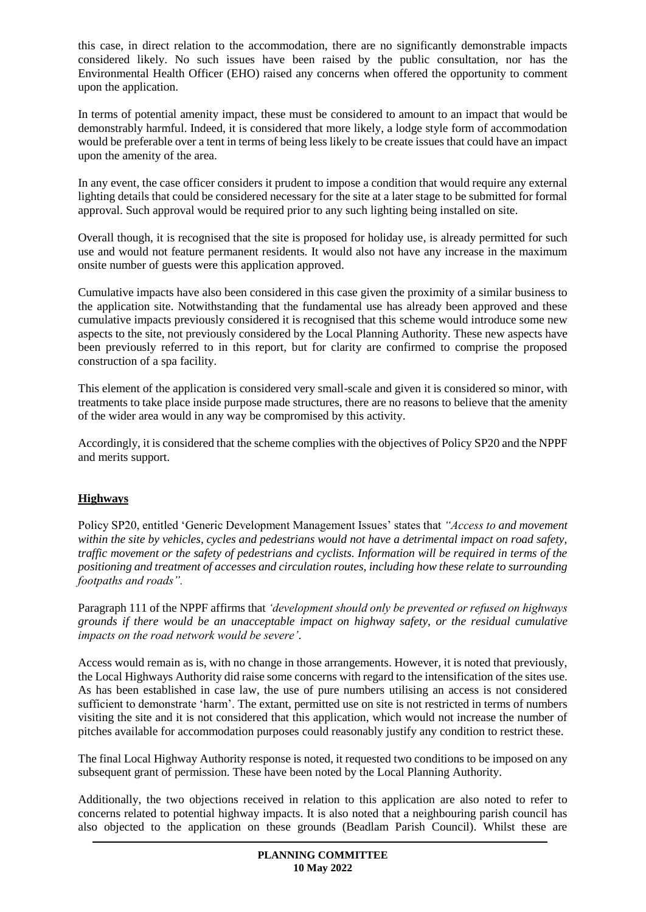this case, in direct relation to the accommodation, there are no significantly demonstrable impacts considered likely. No such issues have been raised by the public consultation, nor has the Environmental Health Officer (EHO) raised any concerns when offered the opportunity to comment upon the application.

In terms of potential amenity impact, these must be considered to amount to an impact that would be demonstrably harmful. Indeed, it is considered that more likely, a lodge style form of accommodation would be preferable over a tent in terms of being less likely to be create issues that could have an impact upon the amenity of the area.

In any event, the case officer considers it prudent to impose a condition that would require any external lighting details that could be considered necessary for the site at a later stage to be submitted for formal approval. Such approval would be required prior to any such lighting being installed on site.

Overall though, it is recognised that the site is proposed for holiday use, is already permitted for such use and would not feature permanent residents. It would also not have any increase in the maximum onsite number of guests were this application approved.

Cumulative impacts have also been considered in this case given the proximity of a similar business to the application site. Notwithstanding that the fundamental use has already been approved and these cumulative impacts previously considered it is recognised that this scheme would introduce some new aspects to the site, not previously considered by the Local Planning Authority. These new aspects have been previously referred to in this report, but for clarity are confirmed to comprise the proposed construction of a spa facility.

This element of the application is considered very small-scale and given it is considered so minor, with treatments to take place inside purpose made structures, there are no reasons to believe that the amenity of the wider area would in any way be compromised by this activity.

Accordingly, it is considered that the scheme complies with the objectives of Policy SP20 and the NPPF and merits support.

# **Highways**

Policy SP20, entitled 'Generic Development Management Issues' states that *"Access to and movement within the site by vehicles, cycles and pedestrians would not have a detrimental impact on road safety, traffic movement or the safety of pedestrians and cyclists. Information will be required in terms of the positioning and treatment of accesses and circulation routes, including how these relate to surrounding footpaths and roads".*

Paragraph 111 of the NPPF affirms that *'development should only be prevented or refused on highways grounds if there would be an unacceptable impact on highway safety, or the residual cumulative impacts on the road network would be severe'*.

Access would remain as is, with no change in those arrangements. However, it is noted that previously, the Local Highways Authority did raise some concerns with regard to the intensification of the sites use. As has been established in case law, the use of pure numbers utilising an access is not considered sufficient to demonstrate 'harm'. The extant, permitted use on site is not restricted in terms of numbers visiting the site and it is not considered that this application, which would not increase the number of pitches available for accommodation purposes could reasonably justify any condition to restrict these.

The final Local Highway Authority response is noted, it requested two conditions to be imposed on any subsequent grant of permission. These have been noted by the Local Planning Authority.

Additionally, the two objections received in relation to this application are also noted to refer to concerns related to potential highway impacts. It is also noted that a neighbouring parish council has also objected to the application on these grounds (Beadlam Parish Council). Whilst these are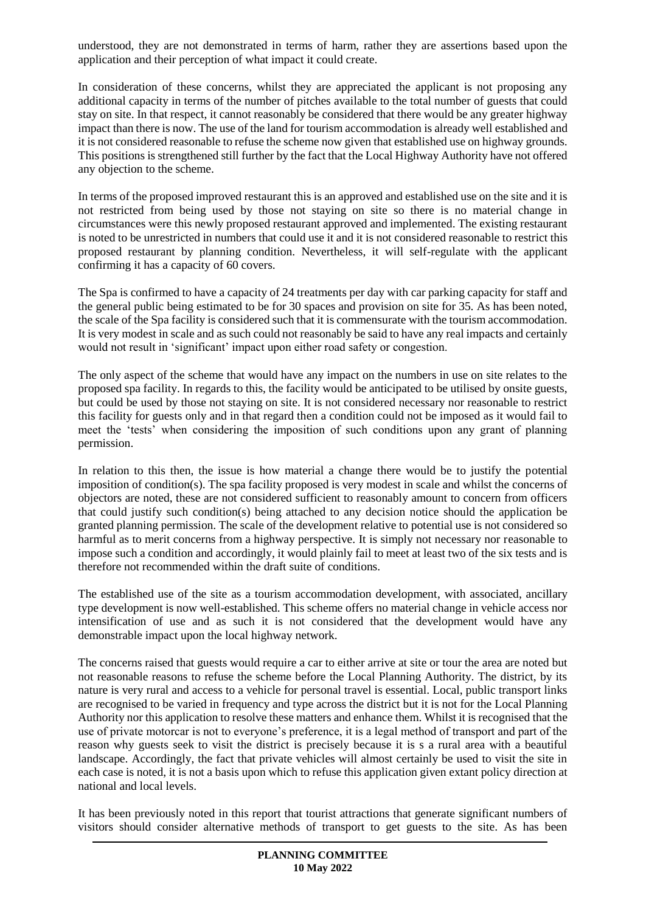understood, they are not demonstrated in terms of harm, rather they are assertions based upon the application and their perception of what impact it could create.

In consideration of these concerns, whilst they are appreciated the applicant is not proposing any additional capacity in terms of the number of pitches available to the total number of guests that could stay on site. In that respect, it cannot reasonably be considered that there would be any greater highway impact than there is now. The use of the land for tourism accommodation is already well established and it is not considered reasonable to refuse the scheme now given that established use on highway grounds. This positions is strengthened still further by the fact that the Local Highway Authority have not offered any objection to the scheme.

In terms of the proposed improved restaurant this is an approved and established use on the site and it is not restricted from being used by those not staying on site so there is no material change in circumstances were this newly proposed restaurant approved and implemented. The existing restaurant is noted to be unrestricted in numbers that could use it and it is not considered reasonable to restrict this proposed restaurant by planning condition. Nevertheless, it will self-regulate with the applicant confirming it has a capacity of 60 covers.

The Spa is confirmed to have a capacity of 24 treatments per day with car parking capacity for staff and the general public being estimated to be for 30 spaces and provision on site for 35. As has been noted, the scale of the Spa facility is considered such that it is commensurate with the tourism accommodation. It is very modest in scale and as such could not reasonably be said to have any real impacts and certainly would not result in 'significant' impact upon either road safety or congestion.

The only aspect of the scheme that would have any impact on the numbers in use on site relates to the proposed spa facility. In regards to this, the facility would be anticipated to be utilised by onsite guests, but could be used by those not staying on site. It is not considered necessary nor reasonable to restrict this facility for guests only and in that regard then a condition could not be imposed as it would fail to meet the 'tests' when considering the imposition of such conditions upon any grant of planning permission.

In relation to this then, the issue is how material a change there would be to justify the potential imposition of condition(s). The spa facility proposed is very modest in scale and whilst the concerns of objectors are noted, these are not considered sufficient to reasonably amount to concern from officers that could justify such condition(s) being attached to any decision notice should the application be granted planning permission. The scale of the development relative to potential use is not considered so harmful as to merit concerns from a highway perspective. It is simply not necessary nor reasonable to impose such a condition and accordingly, it would plainly fail to meet at least two of the six tests and is therefore not recommended within the draft suite of conditions.

The established use of the site as a tourism accommodation development, with associated, ancillary type development is now well-established. This scheme offers no material change in vehicle access nor intensification of use and as such it is not considered that the development would have any demonstrable impact upon the local highway network.

The concerns raised that guests would require a car to either arrive at site or tour the area are noted but not reasonable reasons to refuse the scheme before the Local Planning Authority. The district, by its nature is very rural and access to a vehicle for personal travel is essential. Local, public transport links are recognised to be varied in frequency and type across the district but it is not for the Local Planning Authority nor this application to resolve these matters and enhance them. Whilst it is recognised that the use of private motorcar is not to everyone's preference, it is a legal method of transport and part of the reason why guests seek to visit the district is precisely because it is s a rural area with a beautiful landscape. Accordingly, the fact that private vehicles will almost certainly be used to visit the site in each case is noted, it is not a basis upon which to refuse this application given extant policy direction at national and local levels.

It has been previously noted in this report that tourist attractions that generate significant numbers of visitors should consider alternative methods of transport to get guests to the site. As has been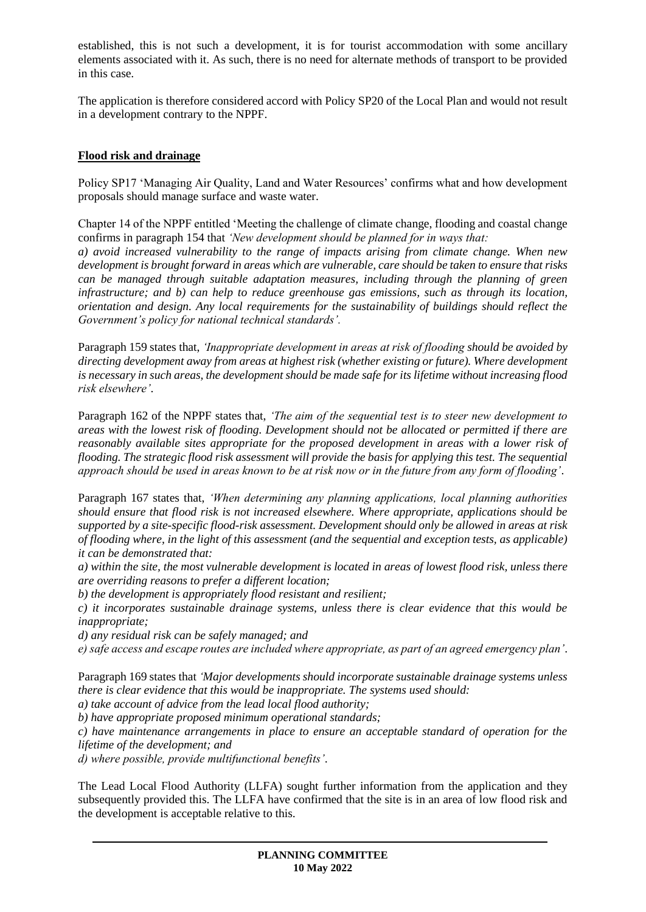established, this is not such a development, it is for tourist accommodation with some ancillary elements associated with it. As such, there is no need for alternate methods of transport to be provided in this case.

The application is therefore considered accord with Policy SP20 of the Local Plan and would not result in a development contrary to the NPPF.

## **Flood risk and drainage**

Policy SP17 'Managing Air Quality, Land and Water Resources' confirms what and how development proposals should manage surface and waste water.

Chapter 14 of the NPPF entitled 'Meeting the challenge of climate change, flooding and coastal change confirms in paragraph 154 that *'New development should be planned for in ways that:*

*a) avoid increased vulnerability to the range of impacts arising from climate change. When new development is brought forward in areas which are vulnerable, care should be taken to ensure that risks can be managed through suitable adaptation measures, including through the planning of green infrastructure; and b) can help to reduce greenhouse gas emissions, such as through its location, orientation and design. Any local requirements for the sustainability of buildings should reflect the Government's policy for national technical standards'.*

Paragraph 159 states that, *'Inappropriate development in areas at risk of flooding should be avoided by directing development away from areas at highest risk (whether existing or future). Where development is necessary in such areas, the development should be made safe for its lifetime without increasing flood risk elsewhere'*.

Paragraph 162 of the NPPF states that, *'The aim of the sequential test is to steer new development to areas with the lowest risk of flooding. Development should not be allocated or permitted if there are reasonably available sites appropriate for the proposed development in areas with a lower risk of flooding. The strategic flood risk assessment will provide the basis for applying this test. The sequential approach should be used in areas known to be at risk now or in the future from any form of flooding'*.

Paragraph 167 states that, *'When determining any planning applications, local planning authorities should ensure that flood risk is not increased elsewhere. Where appropriate, applications should be supported by a site-specific flood-risk assessment. Development should only be allowed in areas at risk of flooding where, in the light of this assessment (and the sequential and exception tests, as applicable) it can be demonstrated that:*

*a) within the site, the most vulnerable development is located in areas of lowest flood risk, unless there are overriding reasons to prefer a different location;*

*b) the development is appropriately flood resistant and resilient;*

*c) it incorporates sustainable drainage systems, unless there is clear evidence that this would be inappropriate;*

*d) any residual risk can be safely managed; and*

*e) safe access and escape routes are included where appropriate, as part of an agreed emergency plan'*.

Paragraph 169 states that *'Major developments should incorporate sustainable drainage systems unless there is clear evidence that this would be inappropriate. The systems used should:*

*a) take account of advice from the lead local flood authority;*

*b) have appropriate proposed minimum operational standards;*

*c) have maintenance arrangements in place to ensure an acceptable standard of operation for the lifetime of the development; and*

*d) where possible, provide multifunctional benefits'*.

The Lead Local Flood Authority (LLFA) sought further information from the application and they subsequently provided this. The LLFA have confirmed that the site is in an area of low flood risk and the development is acceptable relative to this.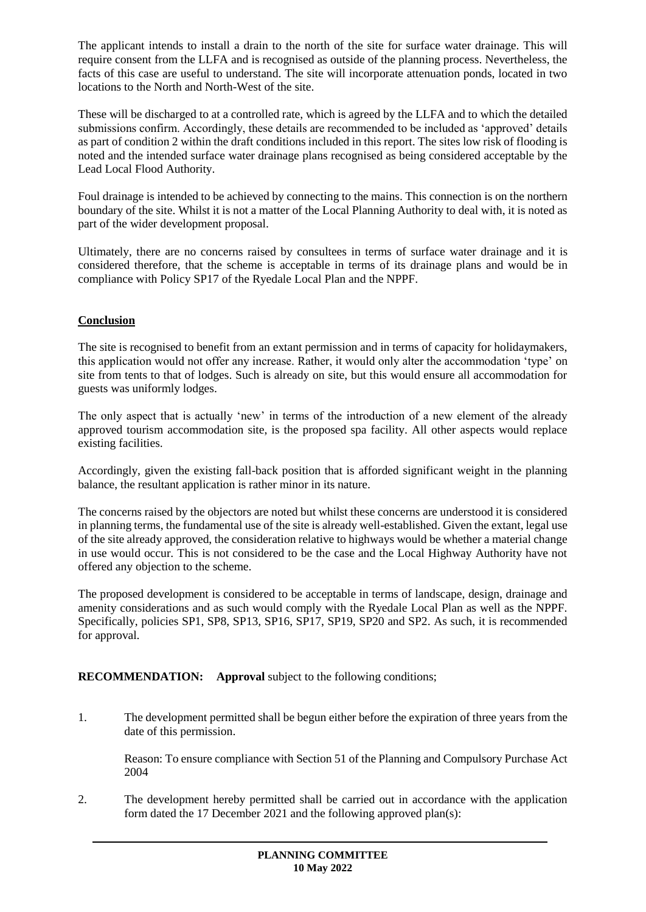The applicant intends to install a drain to the north of the site for surface water drainage. This will require consent from the LLFA and is recognised as outside of the planning process. Nevertheless, the facts of this case are useful to understand. The site will incorporate attenuation ponds, located in two locations to the North and North-West of the site.

These will be discharged to at a controlled rate, which is agreed by the LLFA and to which the detailed submissions confirm. Accordingly, these details are recommended to be included as 'approved' details as part of condition 2 within the draft conditions included in this report. The sites low risk of flooding is noted and the intended surface water drainage plans recognised as being considered acceptable by the Lead Local Flood Authority.

Foul drainage is intended to be achieved by connecting to the mains. This connection is on the northern boundary of the site. Whilst it is not a matter of the Local Planning Authority to deal with, it is noted as part of the wider development proposal.

Ultimately, there are no concerns raised by consultees in terms of surface water drainage and it is considered therefore, that the scheme is acceptable in terms of its drainage plans and would be in compliance with Policy SP17 of the Ryedale Local Plan and the NPPF.

## **Conclusion**

The site is recognised to benefit from an extant permission and in terms of capacity for holidaymakers, this application would not offer any increase. Rather, it would only alter the accommodation 'type' on site from tents to that of lodges. Such is already on site, but this would ensure all accommodation for guests was uniformly lodges.

The only aspect that is actually 'new' in terms of the introduction of a new element of the already approved tourism accommodation site, is the proposed spa facility. All other aspects would replace existing facilities.

Accordingly, given the existing fall-back position that is afforded significant weight in the planning balance, the resultant application is rather minor in its nature.

The concerns raised by the objectors are noted but whilst these concerns are understood it is considered in planning terms, the fundamental use of the site is already well-established. Given the extant, legal use of the site already approved, the consideration relative to highways would be whether a material change in use would occur. This is not considered to be the case and the Local Highway Authority have not offered any objection to the scheme.

The proposed development is considered to be acceptable in terms of landscape, design, drainage and amenity considerations and as such would comply with the Ryedale Local Plan as well as the NPPF. Specifically, policies SP1, SP8, SP13, SP16, SP17, SP19, SP20 and SP2. As such, it is recommended for approval.

### **RECOMMENDATION: Approval** subject to the following conditions;

1. The development permitted shall be begun either before the expiration of three years from the date of this permission.

Reason: To ensure compliance with Section 51 of the Planning and Compulsory Purchase Act 2004

2. The development hereby permitted shall be carried out in accordance with the application form dated the 17 December 2021 and the following approved plan(s):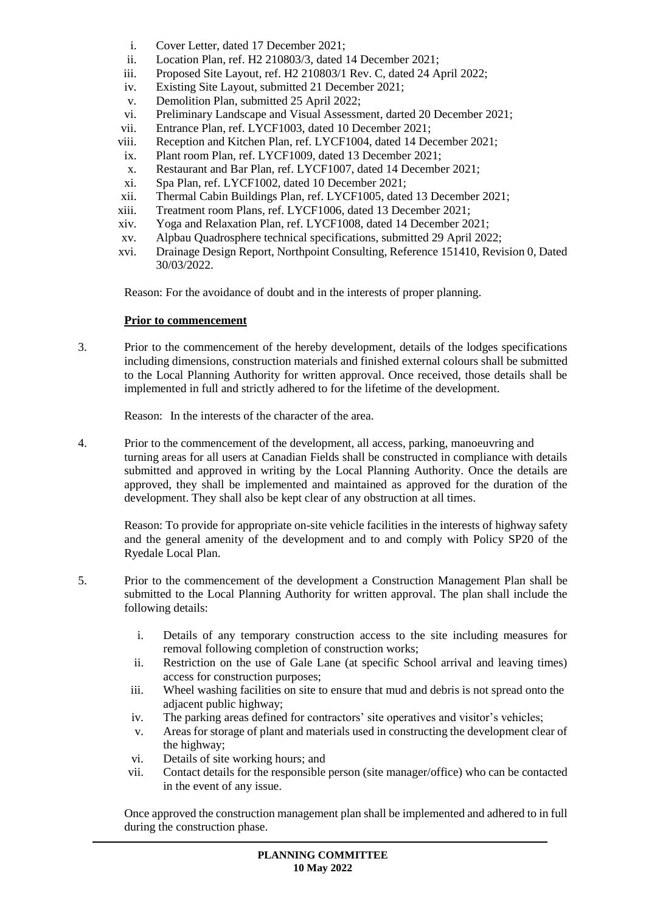- i. Cover Letter, dated 17 December 2021;
- ii. Location Plan, ref. H2 210803/3, dated 14 December 2021;
- iii. Proposed Site Layout, ref. H2 210803/1 Rev. C, dated 24 April 2022;
- iv. Existing Site Layout, submitted 21 December 2021;
- v. Demolition Plan, submitted 25 April 2022;
- vi. Preliminary Landscape and Visual Assessment, darted 20 December 2021;
- vii. Entrance Plan, ref. LYCF1003, dated 10 December 2021;
- viii. Reception and Kitchen Plan, ref. LYCF1004, dated 14 December 2021;
- ix. Plant room Plan, ref. LYCF1009, dated 13 December 2021;
- x. Restaurant and Bar Plan, ref. LYCF1007, dated 14 December 2021;
- xi. Spa Plan, ref. LYCF1002, dated 10 December 2021;
- xii. Thermal Cabin Buildings Plan, ref. LYCF1005, dated 13 December 2021;
- xiii. Treatment room Plans, ref. LYCF1006, dated 13 December 2021;
- xiv. Yoga and Relaxation Plan, ref. LYCF1008, dated 14 December 2021;
- xv. Alpbau Quadrosphere technical specifications, submitted 29 April 2022;
- xvi. Drainage Design Report, Northpoint Consulting, Reference 151410, Revision 0, Dated 30/03/2022.

Reason: For the avoidance of doubt and in the interests of proper planning.

#### **Prior to commencement**

3. Prior to the commencement of the hereby development, details of the lodges specifications including dimensions, construction materials and finished external colours shall be submitted to the Local Planning Authority for written approval. Once received, those details shall be implemented in full and strictly adhered to for the lifetime of the development.

Reason: In the interests of the character of the area.

4. Prior to the commencement of the development, all access, parking, manoeuvring and turning areas for all users at Canadian Fields shall be constructed in compliance with details submitted and approved in writing by the Local Planning Authority. Once the details are approved, they shall be implemented and maintained as approved for the duration of the development. They shall also be kept clear of any obstruction at all times.

Reason: To provide for appropriate on-site vehicle facilities in the interests of highway safety and the general amenity of the development and to and comply with Policy SP20 of the Ryedale Local Plan.

- 5. Prior to the commencement of the development a Construction Management Plan shall be submitted to the Local Planning Authority for written approval. The plan shall include the following details:
	- i. Details of any temporary construction access to the site including measures for removal following completion of construction works;
	- ii. Restriction on the use of Gale Lane (at specific School arrival and leaving times) access for construction purposes;
	- iii. Wheel washing facilities on site to ensure that mud and debris is not spread onto the adjacent public highway;
	- iv. The parking areas defined for contractors' site operatives and visitor's vehicles;
	- v. Areas for storage of plant and materials used in constructing the development clear of the highway;
	- vi. Details of site working hours; and
	- vii. Contact details for the responsible person (site manager/office) who can be contacted in the event of any issue.

Once approved the construction management plan shall be implemented and adhered to in full during the construction phase.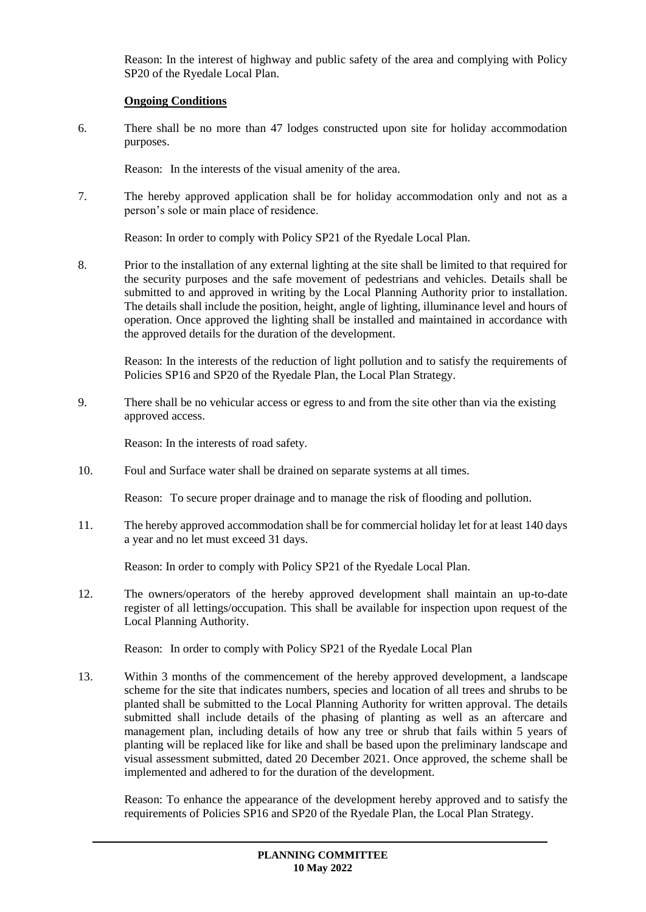Reason: In the interest of highway and public safety of the area and complying with Policy SP20 of the Ryedale Local Plan.

## **Ongoing Conditions**

6. There shall be no more than 47 lodges constructed upon site for holiday accommodation purposes.

Reason: In the interests of the visual amenity of the area.

7. The hereby approved application shall be for holiday accommodation only and not as a person's sole or main place of residence.

Reason: In order to comply with Policy SP21 of the Ryedale Local Plan.

8. Prior to the installation of any external lighting at the site shall be limited to that required for the security purposes and the safe movement of pedestrians and vehicles. Details shall be submitted to and approved in writing by the Local Planning Authority prior to installation. The details shall include the position, height, angle of lighting, illuminance level and hours of operation. Once approved the lighting shall be installed and maintained in accordance with the approved details for the duration of the development.

Reason: In the interests of the reduction of light pollution and to satisfy the requirements of Policies SP16 and SP20 of the Ryedale Plan, the Local Plan Strategy.

9. There shall be no vehicular access or egress to and from the site other than via the existing approved access.

Reason: In the interests of road safety.

10. Foul and Surface water shall be drained on separate systems at all times.

Reason: To secure proper drainage and to manage the risk of flooding and pollution.

11. The hereby approved accommodation shall be for commercial holiday let for at least 140 days a year and no let must exceed 31 days.

Reason: In order to comply with Policy SP21 of the Ryedale Local Plan.

12. The owners/operators of the hereby approved development shall maintain an up-to-date register of all lettings/occupation. This shall be available for inspection upon request of the Local Planning Authority.

Reason: In order to comply with Policy SP21 of the Ryedale Local Plan

13. Within 3 months of the commencement of the hereby approved development, a landscape scheme for the site that indicates numbers, species and location of all trees and shrubs to be planted shall be submitted to the Local Planning Authority for written approval. The details submitted shall include details of the phasing of planting as well as an aftercare and management plan, including details of how any tree or shrub that fails within 5 years of planting will be replaced like for like and shall be based upon the preliminary landscape and visual assessment submitted, dated 20 December 2021. Once approved, the scheme shall be implemented and adhered to for the duration of the development.

Reason: To enhance the appearance of the development hereby approved and to satisfy the requirements of Policies SP16 and SP20 of the Ryedale Plan, the Local Plan Strategy.